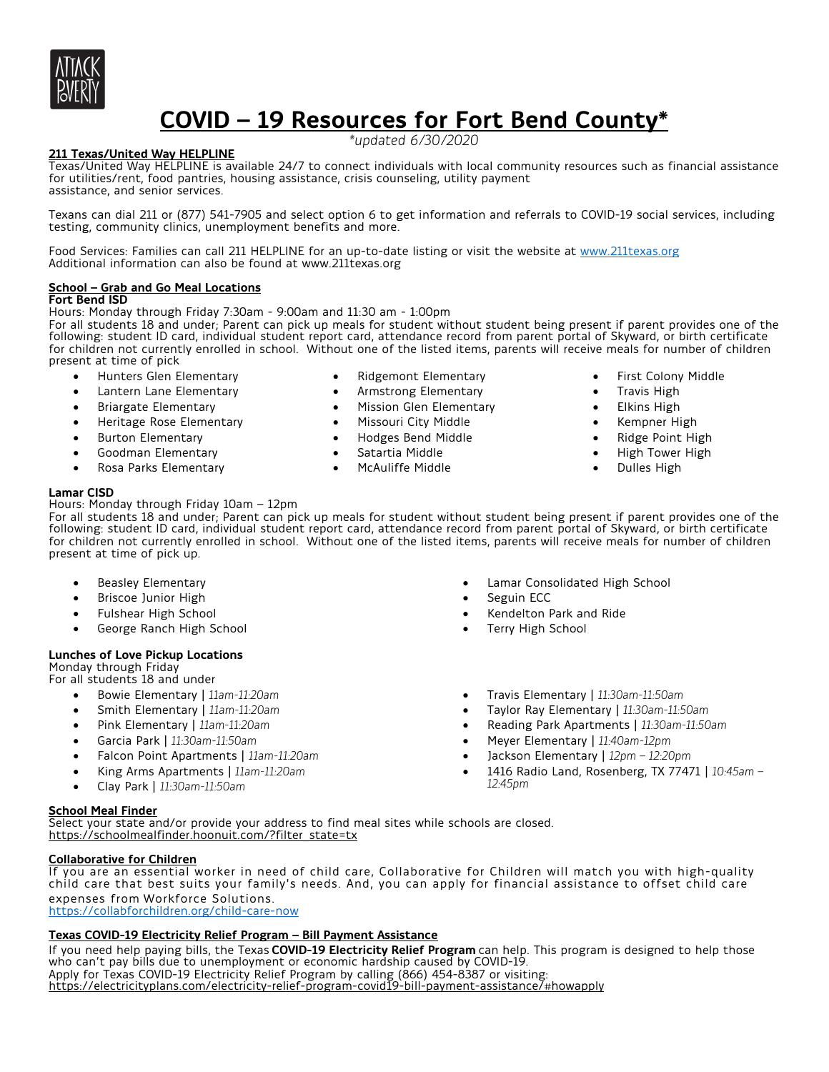

# **COVID – 19 Resources for Fort Bend County\***

*\*updated 6/30/2020*

# **211 Texas/United Way HELPLINE**

Texas/United Way HELPLINE is available 24/7 to connect individuals with local community resources such as financial assistance for utilities/rent, food pantries, housing assistance, crisis counseling, utility payment assistance, and senior services.

Texans can dial 211 or (877) 541-7905 and select option 6 to get information and referrals to COVID-19 social services, including testing, community clinics, unemployment benefits and more.

Food Services: Families can call 211 HELPLINE for an up-to-date listing or visit the website at www.211texas.org Additional information can also be found at www.211texas.org

#### **School – Grab and Go Meal Locations Fort Bend ISD**

Hours: Monday through Friday 7:30am - 9:00am and 11:30 am - 1:00pm

For all students 18 and under; Parent can pick up meals for student without student being present if parent provides one of the following: student ID card, individual student report card, attendance record from parent portal of Skyward, or birth certificate for children not currently enrolled in school. Without one of the listed items, parents will receive meals for number of children present at time of pick

- Hunters Glen Elementary
- Lantern Lane Elementary
- Briargate Elementary
- Heritage Rose Elementary
- **Burton Elementary**
- Goodman Elementary
- Rosa Parks Elementary
- **Lamar CISD**

Hours: Monday through Friday 10am – 12pm

- Ridgemont Elementary
- Armstrong Elementary
- Mission Glen Elementary
- Missouri City Middle
- Hodges Bend Middle
- Satartia Middle
- McAuliffe Middle
- First Colony Middle
- Travis High
- **Elkins High**
- Kempner High
- Ridge Point High
- High Tower High
- Dulles High

For all students 18 and under; Parent can pick up meals for student without student being present if parent provides one of the following: student ID card, individual student report card, attendance record from parent portal of Skyward, or birth certificate for children not currently enrolled in school. Without one of the listed items, parents will receive meals for number of children present at time of pick up.

- Beasley Elementary
- Briscoe Junior High
- Fulshear High School
- George Ranch High School

# **Lunches of Love Pickup Locations**

Monday through Friday

- For all students 18 and under
	- Bowie Elementary | *11am-11:20am*
	- Smith Elementary | *11am-11:20am*
	- Pink Elementary | *11am-11:20am*
	- Garcia Park | *11:30am-11:50am*
	- Falcon Point Apartments | *11am-11:20am*
	- King Arms Apartments | *11am-11:20am*
	- Clay Park | *11:30am-11:50am*

# **School Meal Finder**

Select your state and/or provide your address to find meal sites while schools are closed. https://schoolmealfinder.hoonuit.com/?filter\_state=tx

# **Collaborative for Children**

If you are an essential worker in need of child care, Collaborative for Children will match you with high-quality child care that best suits your family's needs. And, you can apply for financial assistance to offset child care expenses from Workforce Solutions. https://collabforchildren.org/child-care-now

# **Texas COVID-19 Electricity Relief Program – Bill Payment Assistance**

If you need help paying bills, the Texas **COVID-19 Electricity Relief Program** can help. This program is designed to help those who can't pay bills due to unemployment or economic hardship caused by COVID-19. Apply for Texas COVID-19 Electricity Relief Program by calling (866) 454-8387 or visiting: https://electricityplans.com/electricity-relief-program-covid19-bill-payment-assistance/#howapply

- Lamar Consolidated High School Seguin ECC
- Kendelton Park and Ride
- Terry High School
- Travis Elementary | *11:30am-11:50am*
- Taylor Ray Elementary | *11:30am-11:50am*
- Reading Park Apartments | *11:30am-11:50am*
- Meyer Elementary | *11:40am-12pm*
- Jackson Elementary | *12pm – 12:20pm*
- 1416 Radio Land, Rosenberg, TX 77471 | *10:45am – 12:45pm*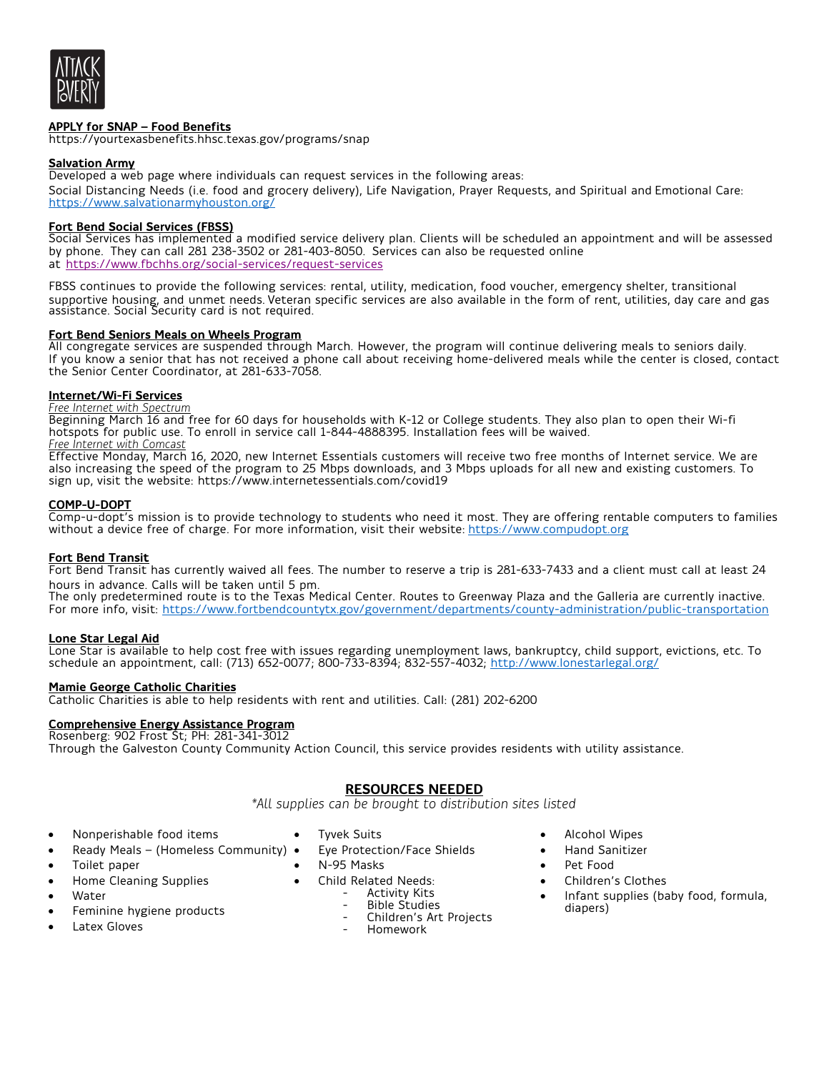

# **APPLY for SNAP – Food Benefits**

https://yourtexasbenefits.hhsc.texas.gov/programs/snap

#### **Salvation Army**

Developed a web page where individuals can request services in the following areas: Social Distancing Needs (i.e. food and grocery delivery), Life Navigation, Prayer Requests, and Spiritual and Emotional Care: https://www.salvationarmyhouston.org/

# **Fort Bend Social Services (FBSS)**

Social Services has implemented a modified service delivery plan. Clients will be scheduled an appointment and will be assessed by phone. They can call 281 238-3502 or 281-403-8050. Services can also be requested online at https://www.fbchhs.org/social-services/request-services

FBSS continues to provide the following services: rental, utility, medication, food voucher, emergency shelter, transitional supportive housing, and unmet needs. Veteran specific services are also available in the form of rent, utilities, day care and gas assistance. Social Security card is not required.

# **Fort Bend Seniors Meals on Wheels Program**

All congregate services are suspended through March. However, the program will continue delivering meals to seniors daily. If you know a senior that has not received a phone call about receiving home-delivered meals while the center is closed, contact the Senior Center Coordinator, at 281-633-7058.

# **Internet/Wi-Fi Services**

*Free Internet with Spectrum*

Beginning March 16 and free for 60 days for households with K-12 or College students. They also plan to open their Wi-fi hotspots for public use. To enroll in service call 1-844-4888395. Installation fees will be waived. *Free Internet with Comcast* 

Effective Monday, March 16, 2020, new Internet Essentials customers will receive two free months of Internet service. We are also increasing the speed of the program to 25 Mbps downloads, and 3 Mbps uploads for all new and existing customers. To sign up, visit the website: https://www.internetessentials.com/covid19

# **COMP-U-DOPT**

Comp-u-dopt's mission is to provide technology to students who need it most. They are offering rentable computers to families without a device free of charge. For more information, visit their website: https://www.compudopt.org

# **Fort Bend Transit**

Fort Bend Transit has currently waived all fees. The number to reserve a trip is 281-633-7433 and a client must call at least 24 hours in advance. Calls will be taken until 5 pm.

The only predetermined route is to the Texas Medical Center. Routes to Greenway Plaza and the Galleria are currently inactive. For more info, visit: https://www.fortbendcountytx.gov/government/departments/county-administration/public-transportation

#### **Lone Star Legal Aid**

Lone Star is available to help cost free with issues regarding unemployment laws, bankruptcy, child support, evictions, etc. To schedule an appointment, call: (713) 652-0077; 800-733-8394; 832-557-4032; http://www.lonestarlegal.org/

#### **Mamie George Catholic Charities**

Catholic Charities is able to help residents with rent and utilities. Call: (281) 202-6200

#### **Comprehensive Energy Assistance Program**

Rosenberg: 902 Frost St; PH: 281-341-3012 Through the Galveston County Community Action Council, this service provides residents with utility assistance.

# **RESOURCES NEEDED**

*\*All supplies can be brought to distribution sites listed* 

- Nonperishable food items
- Ready Meals (Homeless Community)
- Toilet paper
- Home Cleaning Supplies
- **Water**
- Feminine hygiene products
- **Latex Gloves**
- Tyvek Suits
	- Eye Protection/Face Shields
- N-95 Masks
- -
	-
	- Child Related Needs: Activity Kits Bible Studies Children's Art Projects
		- Homework
- Alcohol Wipes
- Hand Sanitizer
	- Pet Food
	- Children's Clothes
	- Infant supplies (baby food, formula, diapers)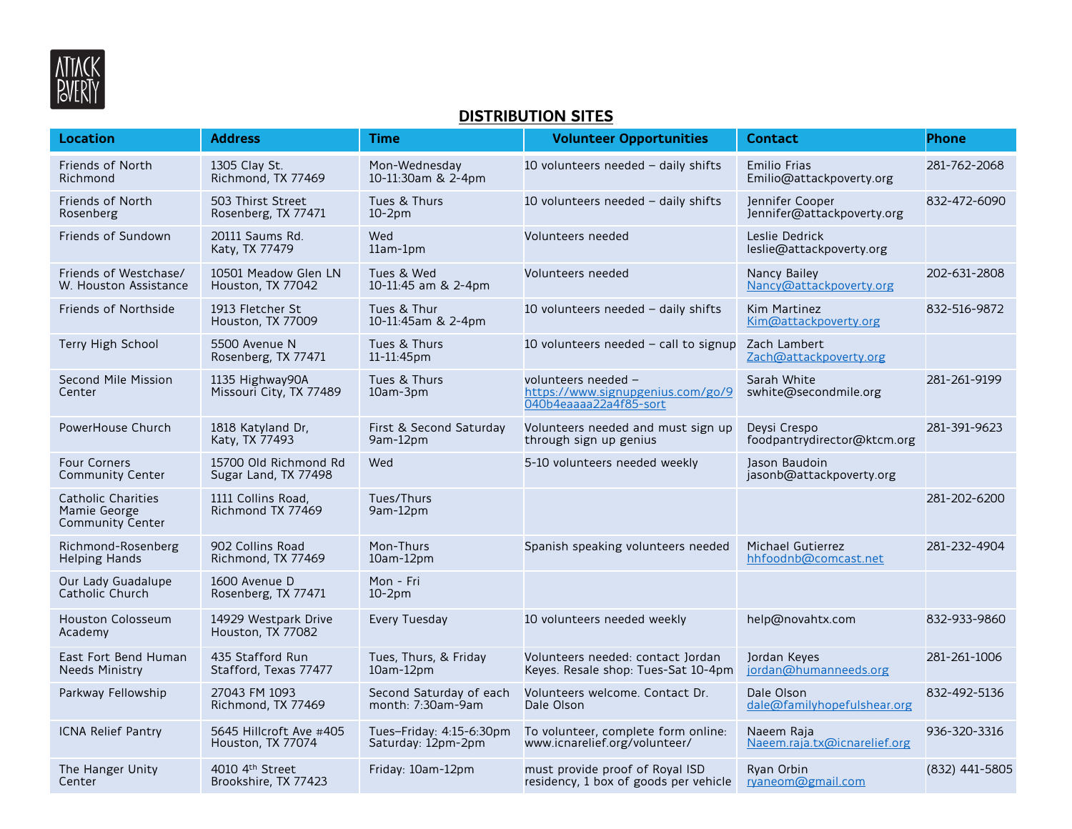

# **DISTRIBUTION SITES**

| <b>Location</b>                                                      | <b>Address</b>                                | Time                                           | <b>Volunteer Opportunities</b>                                                     | <b>Contact</b>                                   | <b>Phone</b>   |
|----------------------------------------------------------------------|-----------------------------------------------|------------------------------------------------|------------------------------------------------------------------------------------|--------------------------------------------------|----------------|
| Friends of North<br>Richmond                                         | 1305 Clay St.<br>Richmond, TX 77469           | Mon-Wednesday<br>10-11:30am & 2-4pm            | 10 volunteers needed $-$ daily shifts                                              | <b>Emilio Frias</b><br>Emilio@attackpoverty.org  | 281-762-2068   |
| <b>Friends of North</b><br>Rosenberg                                 | 503 Thirst Street<br>Rosenberg, TX 77471      | Tues & Thurs<br>$10-2pm$                       | 10 volunteers needed - daily shifts                                                | Jennifer Cooper<br>Jennifer@attackpoverty.org    | 832-472-6090   |
| Friends of Sundown                                                   | 20111 Saums Rd.<br>Katy, TX 77479             | Wed<br>11am-1pm                                | Volunteers needed                                                                  | Leslie Dedrick<br>leslie@attackpoverty.org       |                |
| Friends of Westchase/<br>W. Houston Assistance                       | 10501 Meadow Glen LN<br>Houston, TX 77042     | Tues & Wed<br>10-11:45 am & 2-4pm              | Volunteers needed                                                                  | Nancy Bailey<br>Nancy@attackpoverty.org          | 202-631-2808   |
| <b>Friends of Northside</b>                                          | 1913 Fletcher St<br>Houston, TX 77009         | Tues & Thur<br>10-11:45am & 2-4pm              | 10 volunteers needed - daily shifts                                                | Kim Martinez<br>Kim@attackpoverty.org            | 832-516-9872   |
| Terry High School                                                    | 5500 Avenue N<br>Rosenberg, TX 77471          | Tues & Thurs<br>11-11:45pm                     | 10 volunteers needed - call to signup                                              | Zach Lambert<br>Zach@attackpoverty.org           |                |
| Second Mile Mission<br>Center                                        | 1135 Highway90A<br>Missouri City, TX 77489    | Tues & Thurs<br>10am-3pm                       | volunteers needed -<br>https://www.signupgenius.com/go/9<br>040b4eaaaa22a4f85-sort | Sarah White<br>swhite@secondmile.org             | 281-261-9199   |
| PowerHouse Church                                                    | 1818 Katyland Dr,<br>Katy, TX 77493           | First & Second Saturday<br>9am-12pm            | Volunteers needed and must sign up<br>through sign up genius                       | Deysi Crespo<br>foodpantrydirector@ktcm.org      | 281-391-9623   |
| <b>Four Corners</b><br><b>Community Center</b>                       | 15700 Old Richmond Rd<br>Sugar Land, TX 77498 | Wed                                            | 5-10 volunteers needed weekly                                                      | Jason Baudoin<br>jasonb@attackpoverty.org        |                |
| <b>Catholic Charities</b><br>Mamie George<br><b>Community Center</b> | 1111 Collins Road,<br>Richmond TX 77469       | Tues/Thurs<br>9am-12pm                         |                                                                                    |                                                  | 281-202-6200   |
| Richmond-Rosenberg<br><b>Helping Hands</b>                           | 902 Collins Road<br>Richmond, TX 77469        | Mon-Thurs<br>10am-12pm                         | Spanish speaking volunteers needed                                                 | <b>Michael Gutierrez</b><br>hhfoodnb@comcast.net | 281-232-4904   |
| Our Lady Guadalupe<br>Catholic Church                                | 1600 Avenue D<br>Rosenberg, TX 77471          | Mon - Fri<br>$10-2pm$                          |                                                                                    |                                                  |                |
| <b>Houston Colosseum</b><br>Academy                                  | 14929 Westpark Drive<br>Houston, TX 77082     | Every Tuesday                                  | 10 volunteers needed weekly                                                        | help@novahtx.com                                 | 832-933-9860   |
| East Fort Bend Human<br><b>Needs Ministry</b>                        | 435 Stafford Run<br>Stafford, Texas 77477     | Tues, Thurs, & Friday<br>10am-12pm             | Volunteers needed: contact Jordan<br>Keyes. Resale shop: Tues-Sat 10-4pm           | Jordan Keyes<br>jordan@humanneeds.org            | 281-261-1006   |
| Parkway Fellowship                                                   | 27043 FM 1093<br>Richmond, TX 77469           | Second Saturday of each<br>month: 7:30am-9am   | Volunteers welcome. Contact Dr.<br>Dale Olson                                      | Dale Olson<br>dale@familyhopefulshear.org        | 832-492-5136   |
| ICNA Relief Pantry                                                   | 5645 Hillcroft Ave #405<br>Houston, TX 77074  | Tues-Friday: 4:15-6:30pm<br>Saturday: 12pm-2pm | To volunteer, complete form online:<br>www.icnarelief.org/volunteer/               | Naeem Raja<br>Naeem.raja.tx@icnarelief.org       | 936-320-3316   |
| The Hanger Unity<br>Center                                           | 4010 4th Street<br>Brookshire, TX 77423       | Friday: 10am-12pm                              | must provide proof of Royal ISD<br>residency, 1 box of goods per vehicle           | Ryan Orbin<br>ryaneom@gmail.com                  | (832) 441-5805 |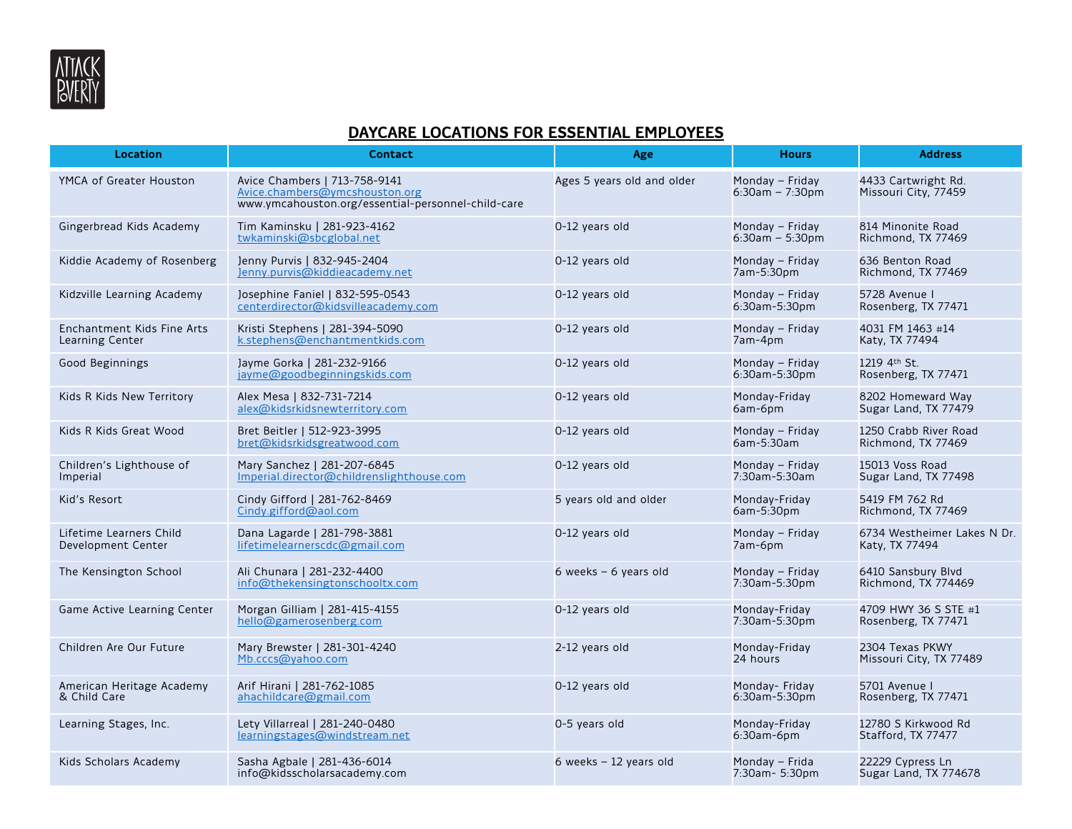

# **DAYCARE LOCATIONS FOR ESSENTIAL EMPLOYEES**

| <b>Location</b>                               | <b>Contact</b>                                                                                                        | Age                        | <b>Hours</b>                          | <b>Address</b>                                |
|-----------------------------------------------|-----------------------------------------------------------------------------------------------------------------------|----------------------------|---------------------------------------|-----------------------------------------------|
| YMCA of Greater Houston                       | Avice Chambers   713-758-9141<br>Avice.chambers@ymcshouston.org<br>www.ymcahouston.org/essential-personnel-child-care | Ages 5 years old and older | Monday - Friday<br>$6:30am - 7:30pm$  | 4433 Cartwright Rd.<br>Missouri City, 77459   |
| Gingerbread Kids Academy                      | Tim Kaminsku   281-923-4162<br>twkaminski@sbcglobal.net                                                               | 0-12 years old             | Monday - Friday<br>$6:30$ am - 5:30pm | 814 Minonite Road<br>Richmond, TX 77469       |
| Kiddie Academy of Rosenberg                   | Jenny Purvis   832-945-2404<br>Jenny.purvis@kiddieacademy.net                                                         | 0-12 years old             | Monday - Friday<br>7am-5:30pm         | 636 Benton Road<br>Richmond, TX 77469         |
| Kidzville Learning Academy                    | Josephine Faniel   832-595-0543<br>centerdirector@kidsvilleacademy.com                                                | 0-12 years old             | Monday - Friday<br>6:30am-5:30pm      | 5728 Avenue  <br>Rosenberg, TX 77471          |
| Enchantment Kids Fine Arts<br>Learning Center | Kristi Stephens   281-394-5090<br>k.stephens@enchantmentkids.com                                                      | 0-12 years old             | Monday - Friday<br>7am-4pm            | 4031 FM 1463 #14<br>Katy, TX 77494            |
| Good Beginnings                               | Jayme Gorka   281-232-9166<br>jayme@goodbeginningskids.com                                                            | 0-12 years old             | Monday - Friday<br>6:30am-5:30pm      | 1219 4th St.<br>Rosenberg, TX 77471           |
| Kids R Kids New Territory                     | Alex Mesa   832-731-7214<br>alex@kidsrkidsnewterritory.com                                                            | 0-12 years old             | Monday-Friday<br>6am-6pm              | 8202 Homeward Way<br>Sugar Land, TX 77479     |
| Kids R Kids Great Wood                        | Bret Beitler   512-923-3995<br>bret@kidsrkidsgreatwood.com                                                            | 0-12 years old             | Monday - Friday<br>6am-5:30am         | 1250 Crabb River Road<br>Richmond, TX 77469   |
| Children's Lighthouse of<br>Imperial          | Mary Sanchez   281-207-6845<br>Imperial.director@childrenslighthouse.com                                              | 0-12 years old             | Monday - Friday<br>7:30am-5:30am      | 15013 Voss Road<br>Sugar Land, TX 77498       |
| Kid's Resort                                  | Cindy Gifford   281-762-8469<br>$Cindy$ .gifford@aol.com                                                              | 5 years old and older      | Monday-Friday<br>6am-5:30pm           | 5419 FM 762 Rd<br>Richmond, TX 77469          |
| Lifetime Learners Child<br>Development Center | Dana Lagarde   281-798-3881<br>lifetimelearnerscdc@gmail.com                                                          | 0-12 years old             | Monday - Friday<br>7am-6pm            | 6734 Westheimer Lakes N Dr.<br>Katy, TX 77494 |
| The Kensington School                         | Ali Chunara   281-232-4400<br>info@thekensingtonschooltx.com                                                          | 6 weeks $-6$ years old     | Monday - Friday<br>7:30am-5:30pm      | 6410 Sansbury Blvd<br>Richmond, TX 774469     |
| Game Active Learning Center                   | Morgan Gilliam   281-415-4155<br>hello@gamerosenberg.com                                                              | 0-12 years old             | Monday-Friday<br>7:30am-5:30pm        | 4709 HWY 36 S STE #1<br>Rosenberg, TX 77471   |
| Children Are Our Future                       | Mary Brewster   281-301-4240<br>Mb.cccs@yahoo.com                                                                     | 2-12 years old             | Monday-Friday<br>24 hours             | 2304 Texas PKWY<br>Missouri City, TX 77489    |
| American Heritage Academy<br>& Child Care     | Arif Hirani   281-762-1085<br>ahachildcare@gmail.com                                                                  | 0-12 years old             | Monday- Friday<br>6:30am-5:30pm       | 5701 Avenue  <br>Rosenberg, TX 77471          |
| Learning Stages, Inc.                         | Lety Villarreal   281-240-0480<br>learningstages@windstream.net                                                       | 0-5 years old              | Monday-Friday<br>$6:30$ am- $6$ pm    | 12780 S Kirkwood Rd<br>Stafford, TX 77477     |
| Kids Scholars Academy                         | Sasha Agbale   281-436-6014<br>info@kidsscholarsacademy.com                                                           | 6 weeks $-12$ years old    | Monday – Frida<br>7:30am- 5:30pm      | 22229 Cypress Ln<br>Sugar Land, TX 774678     |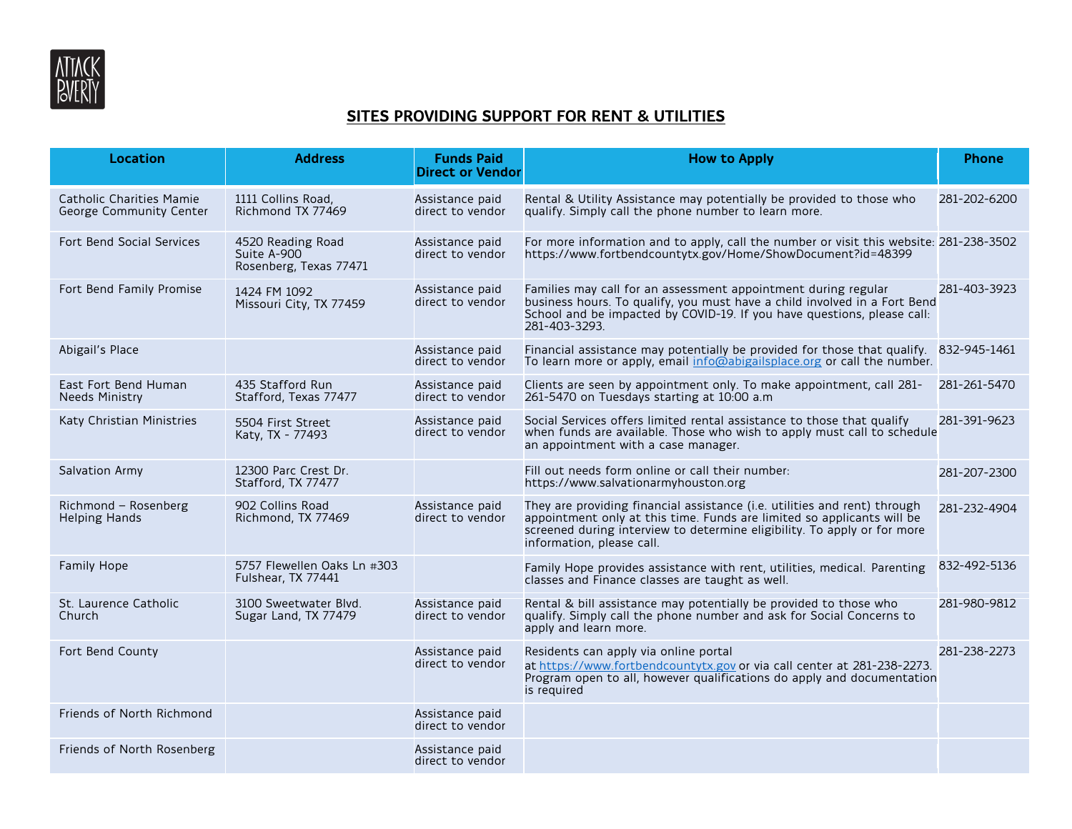

# **SITES PROVIDING SUPPORT FOR RENT & UTILITIES**

| <b>Location</b>                                                   | <b>Address</b>                                             | <b>Funds Paid</b><br><b>Direct or Vendor</b> | <b>How to Apply</b>                                                                                                                                                                                                                                          | <b>Phone</b> |
|-------------------------------------------------------------------|------------------------------------------------------------|----------------------------------------------|--------------------------------------------------------------------------------------------------------------------------------------------------------------------------------------------------------------------------------------------------------------|--------------|
| <b>Catholic Charities Mamie</b><br><b>George Community Center</b> | 1111 Collins Road,<br>Richmond TX 77469                    | Assistance paid<br>direct to vendor          | Rental & Utility Assistance may potentially be provided to those who<br>qualify. Simply call the phone number to learn more.                                                                                                                                 | 281-202-6200 |
| Fort Bend Social Services                                         | 4520 Reading Road<br>Suite A-900<br>Rosenberg, Texas 77471 | Assistance paid<br>direct to vendor          | For more information and to apply, call the number or visit this website: 281-238-3502<br>https://www.fortbendcountytx.gov/Home/ShowDocument?id=48399                                                                                                        |              |
| Fort Bend Family Promise                                          | 1424 FM 1092<br>Missouri City, TX 77459                    | Assistance paid<br>direct to vendor          | Families may call for an assessment appointment during regular<br>business hours. To qualify, you must have a child involved in a Fort Bend<br>School and be impacted by COVID-19. If you have questions, please call:<br>281-403-3293.                      | 281-403-3923 |
| Abigail's Place                                                   |                                                            | Assistance paid<br>direct to vendor          | Financial assistance may potentially be provided for those that qualify.<br>To learn more or apply, email info@abigailsplace.org or call the number.                                                                                                         | 832-945-1461 |
| East Fort Bend Human<br><b>Needs Ministry</b>                     | 435 Stafford Run<br>Stafford, Texas 77477                  | Assistance paid<br>direct to vendor          | Clients are seen by appointment only. To make appointment, call 281-<br>261-5470 on Tuesdays starting at 10:00 a.m                                                                                                                                           | 281-261-5470 |
| Katy Christian Ministries                                         | 5504 First Street<br>Katy, TX - 77493                      | Assistance paid<br>direct to vendor          | Social Services offers limited rental assistance to those that qualify<br>when funds are available. Those who wish to apply must call to schedule<br>an appointment with a case manager.                                                                     | 281-391-9623 |
| Salvation Army                                                    | 12300 Parc Crest Dr.<br>Stafford, TX 77477                 |                                              | Fill out needs form online or call their number:<br>https://www.salvationarmyhouston.org                                                                                                                                                                     | 281-207-2300 |
| Richmond - Rosenberg<br><b>Helping Hands</b>                      | 902 Collins Road<br>Richmond, TX 77469                     | Assistance paid<br>direct to vendor          | They are providing financial assistance (i.e. utilities and rent) through<br>appointment only at this time. Funds are limited so applicants will be<br>screened during interview to determine eligibility. To apply or for more<br>information, please call. | 281-232-4904 |
| Family Hope                                                       | 5757 Flewellen Oaks Ln #303<br>Fulshear, TX 77441          |                                              | Family Hope provides assistance with rent, utilities, medical. Parenting<br>classes and Finance classes are taught as well.                                                                                                                                  | 832-492-5136 |
| St. Laurence Catholic<br>Church                                   | 3100 Sweetwater Blyd.<br>Sugar Land, TX 77479              | Assistance paid<br>direct to vendor          | Rental & bill assistance may potentially be provided to those who<br>qualify. Simply call the phone number and ask for Social Concerns to<br>apply and learn more.                                                                                           | 281-980-9812 |
| Fort Bend County                                                  |                                                            | Assistance paid<br>direct to vendor          | Residents can apply via online portal<br>at https://www.fortbendcountytx.gov or via call center at 281-238-2273.<br>Program open to all, however qualifications do apply and documentation<br>is required                                                    | 281-238-2273 |
| Friends of North Richmond                                         |                                                            | Assistance paid<br>direct to vendor          |                                                                                                                                                                                                                                                              |              |
| Friends of North Rosenberg                                        |                                                            | Assistance paid<br>direct to vendor          |                                                                                                                                                                                                                                                              |              |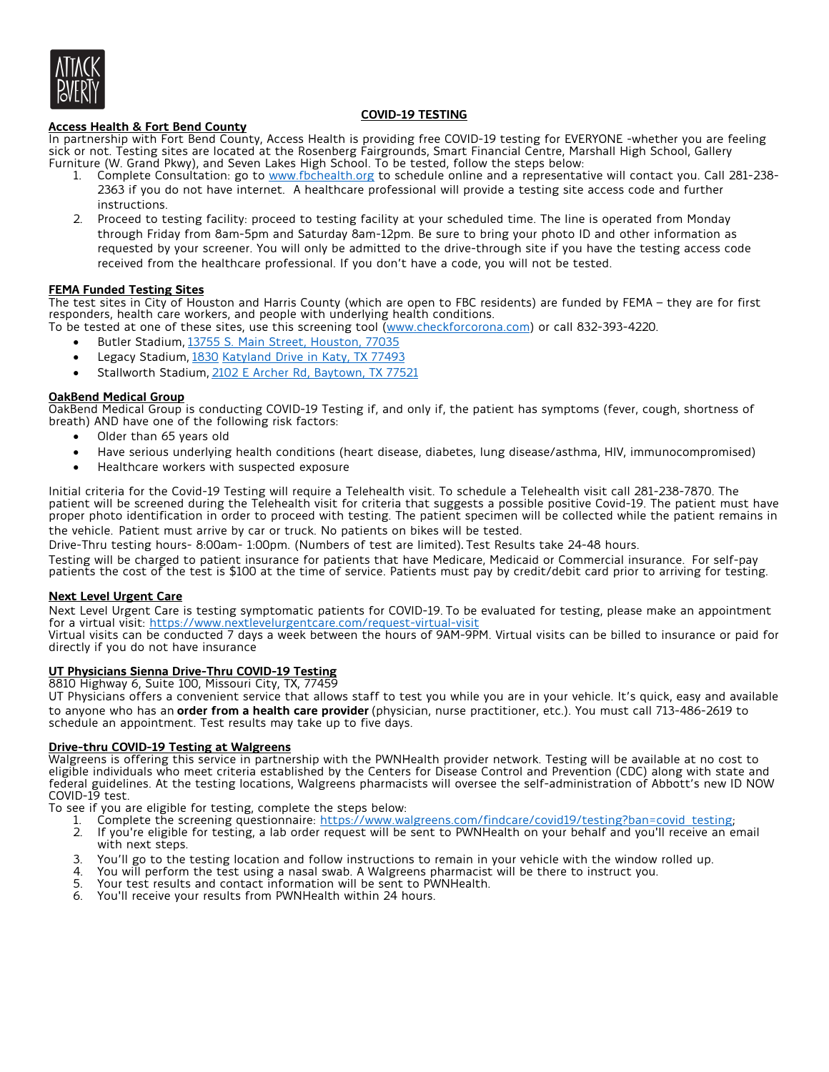

# **COVID-19 TESTING**

**Access Health & Fort Bend County** In partnership with Fort Bend County, Access Health is providing free COVID-19 testing for EVERYONE -whether you are feeling sick or not. Testing sites are located at the Rosenberg Fairgrounds, Smart Financial Centre, Marshall High School, Gallery Furniture (W. Grand Pkwy), and Seven Lakes High School. To be tested, follow the steps below:

- 1. Complete Consultation: go to www.fbchealth.org to schedule online and a representative will contact you. Call 281-238-2363 if you do not have internet. A healthcare professional will provide a testing site access code and further instructions.
- 2. Proceed to testing facility: proceed to testing facility at your scheduled time. The line is operated from Monday through Friday from 8am-5pm and Saturday 8am-12pm. Be sure to bring your photo ID and other information as requested by your screener. You will only be admitted to the drive-through site if you have the testing access code received from the healthcare professional. If you don't have a code, you will not be tested.

# **FEMA Funded Testing Sites**

The test sites in City of Houston and Harris County (which are open to FBC residents) are funded by FEMA – they are for first responders, health care workers, and people with underlying health conditions.

To be tested at one of these sites, use this screening tool (www.checkforcorona.com) or call 832-393-4220.

- Butler Stadium, 13755 S. Main Street, Houston, 77035
- Legacy Stadium, 1830 Katyland Drive in Katy, TX 77493
- Stallworth Stadium, 2102 E Archer Rd, Baytown, TX 77521

# **OakBend Medical Group**

OakBend Medical Group is conducting COVID-19 Testing if, and only if, the patient has symptoms (fever, cough, shortness of breath) AND have one of the following risk factors:

- Older than 65 years old
- Have serious underlying health conditions (heart disease, diabetes, lung disease/asthma, HIV, immunocompromised)
- Healthcare workers with suspected exposure

Initial criteria for the Covid-19 Testing will require a Telehealth visit. To schedule a Telehealth visit call 281-238-7870. The patient will be screened during the Telehealth visit for criteria that suggests a possible positive Covid-19. The patient must have proper photo identification in order to proceed with testing. The patient specimen will be collected while the patient remains in the vehicle. Patient must arrive by car or truck. No patients on bikes will be tested.

Drive-Thru testing hours- 8:00am- 1:00pm. (Numbers of test are limited). Test Results take 24-48 hours.

Testing will be charged to patient insurance for patients that have Medicare, Medicaid or Commercial insurance. For self-pay patients the cost of the test is \$100 at the time of service. Patients must pay by credit/debit card prior to arriving for testing.

#### **Next Level Urgent Care**

Next Level Urgent Care is testing symptomatic patients for COVID-19. To be evaluated for testing, please make an appointment for a virtual visit: https://www.nextlevelurgentcare.com/request-virtual-visit

Virtual visits can be conducted 7 days a week between the hours of 9AM-9PM. Virtual visits can be billed to insurance or paid for directly if you do not have insurance

#### **UT Physicians Sienna Drive-Thru COVID-19 Testing**

8810 Highway 6, Suite 100, Missouri City, TX, 77459

UT Physicians offers a convenient service that allows staff to test you while you are in your vehicle. It's quick, easy and available to anyone who has an **order from a health care provider** (physician, nurse practitioner, etc.). You must call 713-486-2619 to schedule an appointment. Test results may take up to five days.

#### **Drive-thru COVID-19 Testing at Walgreens**

Walgreens is offering this service in partnership with the PWNHealth provider network. Testing will be available at no cost to eligible individuals who meet criteria established by the Centers for Disease Control and Prevention (CDC) along with state and federal guidelines. At the testing locations, Walgreens pharmacists will oversee the self-administration of Abbott's new ID NOW COVID-19 test.

To see if you are eligible for testing, complete the steps below:<br>1. Complete the screening questionnaire: https://www.wa

- 1. Complete the screening questionnaire: https://www.walgreens.com/findcare/covid19/testing?ban=covid\_testing;<br>2. If you're eligible for testing, a lab order request will be sent to PWNHealth on your behalf and you'll rece
- If you're eligible for testing, a lab order request will be sent to PWNHealth on your behalf and you'll receive an email with next steps.
- 3. You'll go to the testing location and follow instructions to remain in your vehicle with the window rolled up.<br>4. You will perform the test using a nasal swab. A Walgreens pharmacist will be there to instruct you.
- 4. You will perform the test using a nasal swab. A Walgreens pharmacist will be there to instruct you.<br>5. Your test results and contact information will be sent to PWNHealth.
- Your test results and contact information will be sent to PWNHealth.
- 6. You'll receive your results from PWNHealth within 24 hours.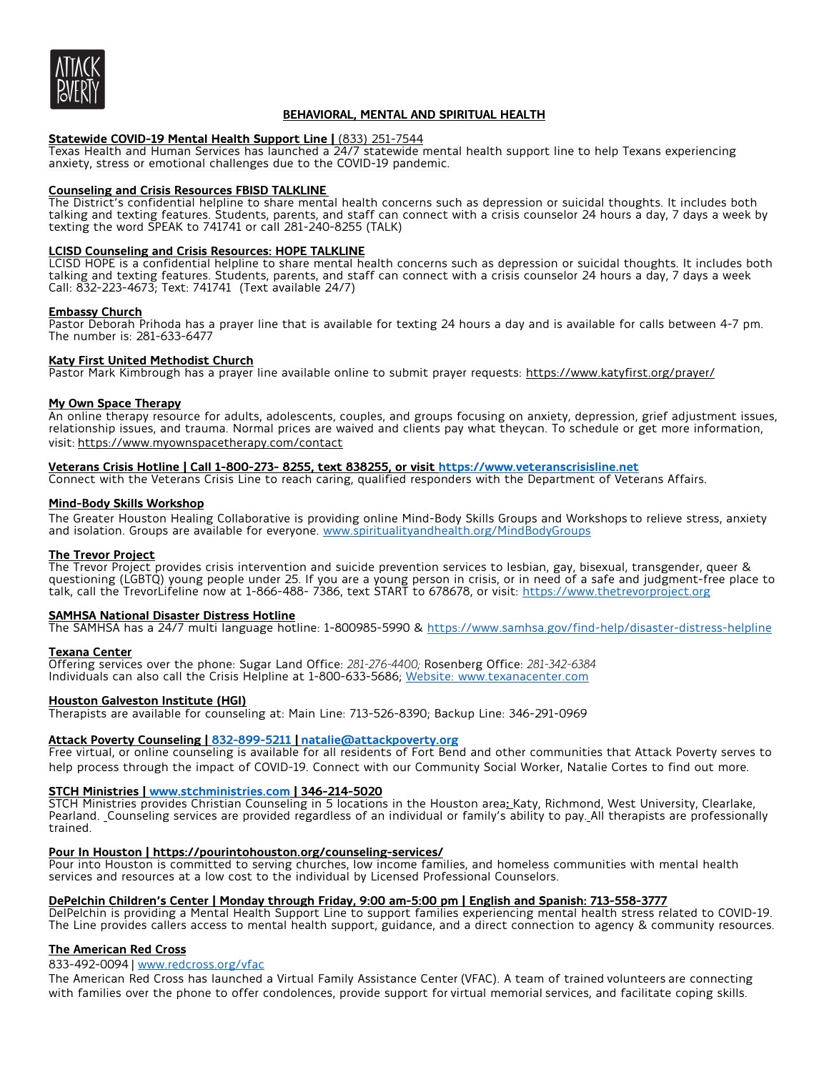

# **BEHAVIORAL, MENTAL AND SPIRITUAL HEALTH**

#### **Statewide COVID-19 Mental Health Support Line |** (833) 251-7544

Texas Health and Human Services has launched a 24/7 statewide mental health support line to help Texans experiencing anxiety, stress or emotional challenges due to the COVID-19 pandemic.

#### **Counseling and Crisis Resources FBISD TALKLINE**

The District's confidential helpline to share mental health concerns such as depression or suicidal thoughts. It includes both talking and texting features. Students, parents, and staff can connect with a crisis counselor 24 hours a day, 7 days a week by texting the word SPEAK to 741741 or call 281-240-8255 (TALK)

#### **LCISD Counseling and Crisis Resources: HOPE TALKLINE**

LCISD HOPE is a confidential helpline to share mental health concerns such as depression or suicidal thoughts. It includes both talking and texting features. Students, parents, and staff can connect with a crisis counselor 24 hours a day, 7 days a week Call: 832-223-4673; Text: 741741 (Text available 24/7)

#### **Embassy Church**

Pastor Deborah Prihoda has a prayer line that is available for texting 24 hours a day and is available for calls between 4-7 pm. The number is: 281-633-6477

#### **Katy First United Methodist Church**

Pastor Mark Kimbrough has a prayer line available online to submit prayer requests: https://www.katyfirst.org/prayer/

#### **My Own Space Therapy**

An online therapy resource for adults, adolescents, couples, and groups focusing on anxiety, depression, grief adjustment issues, relationship issues, and trauma. Normal prices are waived and clients pay what theycan. To schedule or get more information, visit: https://www.myownspacetherapy.com/contact

#### **Veterans Crisis Hotline | Call 1-800-273- 8255, text 838255, or visit https://www.veteranscrisisline.net**

Connect with the Veterans Crisis Line to reach caring, qualified responders with the Department of Veterans Affairs.

#### **Mind-Body Skills Workshop**

The Greater Houston Healing Collaborative is providing online Mind-Body Skills Groups and Workshops to relieve stress, anxiety and isolation. Groups are available for everyone. www.spiritualityandhealth.org/MindBodyGroups

#### **The Trevor Project**

The Trevor Project provides crisis intervention and suicide prevention services to lesbian, gay, bisexual, transgender, queer & questioning (LGBTQ) young people under 25. If you are a young person in crisis, or in need of a safe and judgment-free place to talk, call the TrevorLifeline now at 1-866-488- 7386, text START to 678678, or visit: <u>https://www.thetrevorproject.or</u>g

#### **SAMHSA National Disaster Distress Hotline**

The SAMHSA has a 24/7 multi language hotline: 1-800985-5990 & https://www.samhsa.gov/find-help/disaster-distress-helpline

#### **Texana Center**

Offering services over the phone: Sugar Land Office: *281-276-4400;* Rosenberg Office: *281-342-6384* Individuals can also call the Crisis Helpline at 1-800-633-5686; Website: www.texanacenter.com

#### **Houston Galveston Institute (HGI)**

Therapists are available for counseling at: Main Line: 713-526-8390; Backup Line: 346-291-0969

# **Attack Poverty Counseling | 832-899-5211 | natalie@attackpoverty.org**

Free virtual, or online counseling is available for all residents of Fort Bend and other communities that Attack Poverty serves to help process through the impact of COVID-19. Connect with our Community Social Worker, Natalie Cortes to find out more.

#### **STCH Ministries | www.stchministries.com | 346-214-5020**

STCH Ministries provides Christian Counseling in 5 locations in the Houston area**:** Katy, Richmond, West University, Clearlake, Pearland. Counseling services are provided regardless of an individual or family's ability to pay. All therapists are professionally trained.

#### **Pour In Houston | https://pourintohouston.org/counseling-services/**

Pour into Houston is committed to serving churches, low income families, and homeless communities with mental health services and resources at a low cost to the individual by Licensed Professional Counselors.

#### **DePelchin Children's Center | Monday through Friday, 9:00 am-5:00 pm | English and Spanish: 713-558-3777**

DelPelchin is providing a Mental Health Support Line to support families experiencing mental health stress related to COVID-19.<br>The Line provides callers access to mental health support, guidance, and a direct connection t

#### **The American Red Cross**

#### 833-492-0094 | www.redcross.org/vfac

The American Red Cross has launched a Virtual Family Assistance Center (VFAC). A team of trained volunteers are connecting with families over the phone to offer condolences, provide support for virtual memorial services, and facilitate coping skills.